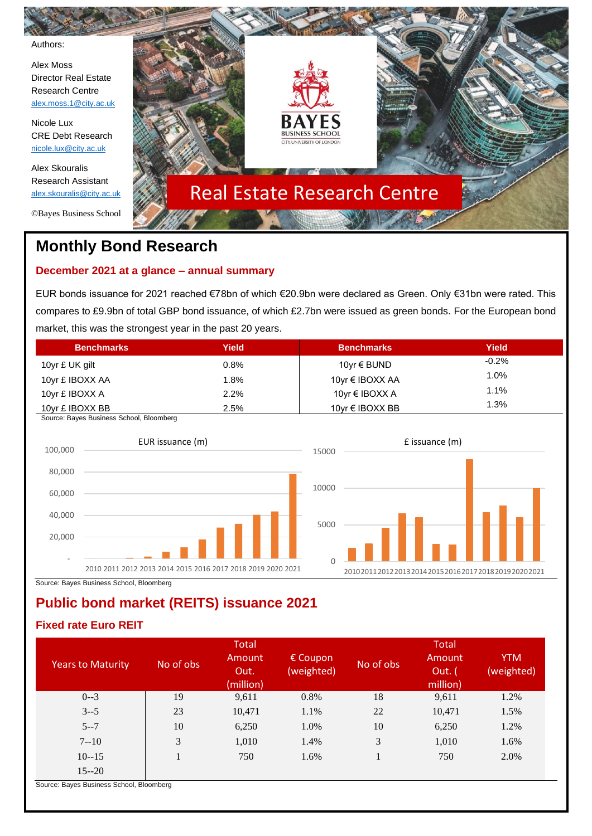Authors:

Alex Moss Director Real Estate Research Centre [alex.moss.1@city.ac.uk](mailto:alex.moss.1@city.ac.uk)

Nicole Lux CRE Debt Research [nicole.lux@city.ac.uk](mailto:nicole.lux@city.ac.uk)

Alex Skouralis Research Assistant [alex.skouralis@city.ac.uk](mailto:alex.skouralis@city.ac.uk)

©Bayes Business School



# **Monthly Bond Research**

## **December 2021 at a glance – annual summary**

EUR bonds issuance for 2021 reached €78bn of which €20.9bn were declared as Green. Only €31bn were rated. This compares to £9.9bn of total GBP bond issuance, of which £2.7bn were issued as green bonds. For the European bond market, this was the strongest year in the past 20 years.

| <b>Benchmarks</b> | Yield   | <b>Benchmarks</b>    | Yield    |
|-------------------|---------|----------------------|----------|
| 10yr £ UK gilt    | $0.8\%$ | 10 $vr ∈ BUND$       | $-0.2\%$ |
| 10yr £ IBOXX AA   | 1.8%    | 10yr € IBOXX AA      | 1.0%     |
| 10yr £ IBOXX A    | 2.2%    | 10yr € IBOXX A       | 1.1%     |
| 10yr £ IBOXX BB   | 2.5%    | 10 $vr \in$ IBOXX BB | 1.3%     |

Source: Bayes Business School, Bloomberg



Source: Bayes Business School, Bloomberg

## **Public bond market (REITS) issuance 2021**

## **Fixed rate Euro REIT**

|                                                                      |           | <b>Total</b>                |                        |           | Total                        |                          |
|----------------------------------------------------------------------|-----------|-----------------------------|------------------------|-----------|------------------------------|--------------------------|
| <b>Years to Maturity</b>                                             | No of obs | Amount<br>Out.<br>(million) | € Coupon<br>(weighted) | No of obs | Amount<br>Out. (<br>million) | <b>YTM</b><br>(weighted) |
| $0 - 3$                                                              | 19        | 9,611                       | 0.8%                   | 18        | 9,611                        | 1.2%                     |
| $3 - 5$                                                              | 23        | 10,471                      | 1.1%                   | 22        | 10,471                       | 1.5%                     |
| $5 - 7$                                                              | 10        | 6,250                       | 1.0%                   | 10        | 6,250                        | 1.2%                     |
| $7 - 10$                                                             | 3         | 1,010                       | 1.4%                   | 3         | 1,010                        | 1.6%                     |
| $10 - 15$                                                            |           | 750                         | 1.6%                   |           | 750                          | 2.0%                     |
| $15 - 20$<br>$\sim$ $\sim$ $\sim$ $\sim$ $\sim$ $\sim$ $\sim$ $\sim$ |           |                             |                        |           |                              |                          |

Source: Bayes Business School, Bloomberg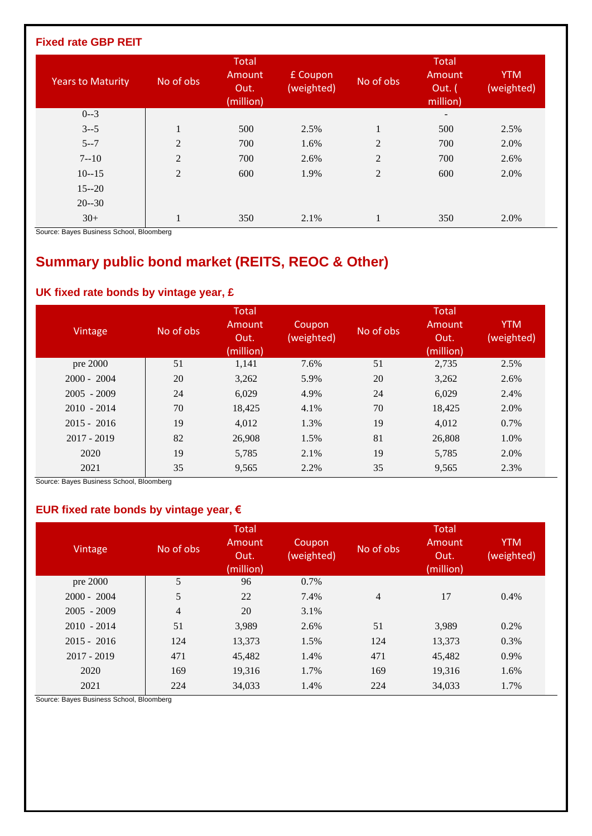### **Fixed rate GBP REIT**

| <b>Years to Maturity</b>                                         | No of obs      | <b>Total</b><br>Amount<br>Out.<br>(million) | £ Coupon<br>(weighted) | No of obs      | <b>Total</b><br>Amount<br>Out. (<br>million) | <b>YTM</b><br>(weighted) |
|------------------------------------------------------------------|----------------|---------------------------------------------|------------------------|----------------|----------------------------------------------|--------------------------|
| $0 - 3$                                                          |                |                                             |                        |                | $\overline{\phantom{a}}$                     |                          |
| $3 - 5$                                                          |                | 500                                         | 2.5%                   | 1              | 500                                          | 2.5%                     |
| $5 - 7$                                                          | $\overline{2}$ | 700                                         | 1.6%                   | $\overline{2}$ | 700                                          | 2.0%                     |
| $7 - 10$                                                         | $\overline{2}$ | 700                                         | 2.6%                   | $\overline{2}$ | 700                                          | 2.6%                     |
| $10 - 15$                                                        | $\overline{2}$ | 600                                         | 1.9%                   | $\overline{2}$ | 600                                          | 2.0%                     |
| $15 - 20$                                                        |                |                                             |                        |                |                                              |                          |
| $20 - 30$                                                        |                |                                             |                        |                |                                              |                          |
| $30+$<br>$\sim$ $\sim$ $\sim$ $\sim$ $\sim$ $\sim$ $\sim$ $\sim$ |                | 350                                         | 2.1%                   |                | 350                                          | 2.0%                     |

Source: Bayes Business School, Bloomberg

# **Summary public bond market (REITS, REOC & Other)**

### **UK fixed rate bonds by vintage year, £**

| Vintage       | No of obs | <b>Total</b><br>Amount<br>Out.<br>(million) | Coupon<br>(weighted) | No of obs | Total<br>Amount<br>Out.<br>(million) | <b>YTM</b><br>(weighted) |
|---------------|-----------|---------------------------------------------|----------------------|-----------|--------------------------------------|--------------------------|
| pre 2000      | 51        | 1,141                                       | 7.6%                 | 51        | 2,735                                | 2.5%                     |
| $2000 - 2004$ | 20        | 3,262                                       | 5.9%                 | 20        | 3,262                                | 2.6%                     |
| $2005 - 2009$ | 24        | 6,029                                       | 4.9%                 | 24        | 6,029                                | 2.4%                     |
| $2010 - 2014$ | 70        | 18,425                                      | 4.1%                 | 70        | 18,425                               | 2.0%                     |
| $2015 - 2016$ | 19        | 4.012                                       | 1.3%                 | 19        | 4,012                                | 0.7%                     |
| $2017 - 2019$ | 82        | 26,908                                      | 1.5%                 | 81        | 26,808                               | 1.0%                     |
| 2020          | 19        | 5,785                                       | 2.1%                 | 19        | 5,785                                | 2.0%                     |
| 2021          | 35        | 9,565                                       | 2.2%                 | 35        | 9,565                                | 2.3%                     |

Source: Bayes Business School, Bloomberg

### **EUR fixed rate bonds by vintage year, €**

| Vintage       | No of obs      | <b>Total</b><br>Amount<br>Out.<br>(million) | Coupon<br>(weighted) | No of obs | <b>Total</b><br>Amount<br>Out.<br>(million) | <b>YTM</b><br>(weighted) |
|---------------|----------------|---------------------------------------------|----------------------|-----------|---------------------------------------------|--------------------------|
| pre 2000      | 5              | 96                                          | 0.7%                 |           |                                             |                          |
| $2000 - 2004$ | 5              | 22                                          | 7.4%                 | 4         | 17                                          | 0.4%                     |
| $2005 - 2009$ | $\overline{4}$ | 20                                          | 3.1%                 |           |                                             |                          |
| $2010 - 2014$ | 51             | 3,989                                       | 2.6%                 | 51        | 3,989                                       | 0.2%                     |
| $2015 - 2016$ | 124            | 13,373                                      | 1.5%                 | 124       | 13,373                                      | 0.3%                     |
| $2017 - 2019$ | 471            | 45,482                                      | 1.4%                 | 471       | 45,482                                      | 0.9%                     |
| 2020          | 169            | 19,316                                      | 1.7%                 | 169       | 19,316                                      | 1.6%                     |
| 2021          | 224            | 34,033                                      | 1.4%                 | 224       | 34,033                                      | 1.7%                     |

Source: Bayes Business School, Bloomberg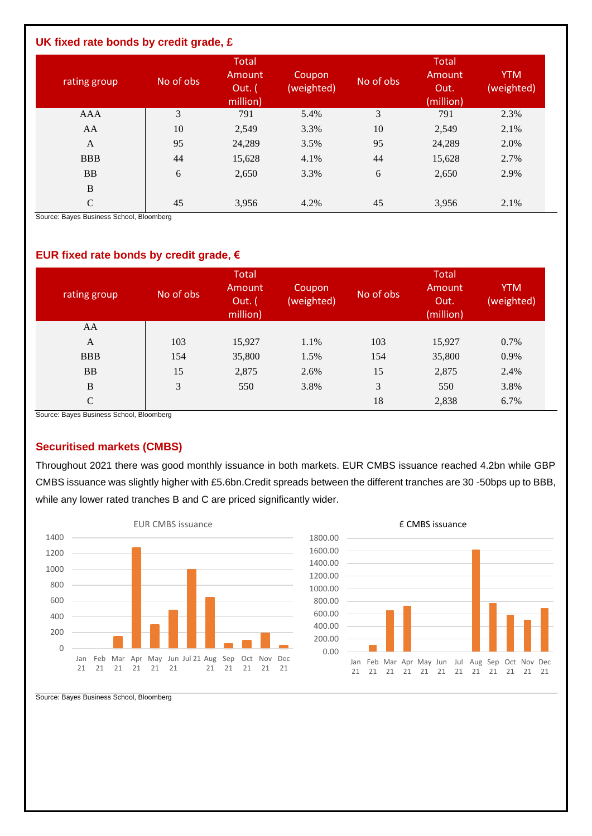#### **UK fixed rate bonds by credit grade, £**

| rating group                                                | No of obs | <b>Total</b><br>Amount<br>Out. $($<br>million) | Coupon<br>(weighted) | No of obs | <b>Total</b><br>Amount<br>Out.<br>(million) | <b>YTM</b><br>(weighted) |
|-------------------------------------------------------------|-----------|------------------------------------------------|----------------------|-----------|---------------------------------------------|--------------------------|
| <b>AAA</b>                                                  | 3         | 791                                            | 5.4%                 | 3         | 791                                         | 2.3%                     |
| AA                                                          | 10        | 2,549                                          | 3.3%                 | 10        | 2,549                                       | 2.1%                     |
| A                                                           | 95        | 24,289                                         | 3.5%                 | 95        | 24,289                                      | 2.0%                     |
| <b>BBB</b>                                                  | 44        | 15,628                                         | 4.1%                 | 44        | 15,628                                      | 2.7%                     |
| <b>BB</b>                                                   | 6         | 2,650                                          | 3.3%                 | 6         | 2,650                                       | 2.9%                     |
| $\, {\bf B}$                                                |           |                                                |                      |           |                                             |                          |
| $\mathsf{C}$<br>Original Driver Diretories Orbert Disemberg | 45        | 3,956                                          | 4.2%                 | 45        | 3,956                                       | 2.1%                     |

Source: Bayes Business School, Bloomberg

#### **EUR fixed rate bonds by credit grade, €**

| rating group | No of obs | <b>Total</b><br>Amount<br>Out. (<br>million) | Coupon<br>(weighted) | No of obs | <b>Total</b><br>Amount<br>Out.<br>(million) | <b>YTM</b><br>(weighted) |
|--------------|-----------|----------------------------------------------|----------------------|-----------|---------------------------------------------|--------------------------|
| AA           |           |                                              |                      |           |                                             |                          |
| A            | 103       | 15,927                                       | 1.1%                 | 103       | 15,927                                      | 0.7%                     |
| <b>BBB</b>   | 154       | 35,800                                       | 1.5%                 | 154       | 35,800                                      | 0.9%                     |
| <b>BB</b>    | 15        | 2,875                                        | 2.6%                 | 15        | 2,875                                       | 2.4%                     |
| B            | 3         | 550                                          | 3.8%                 | 3         | 550                                         | 3.8%                     |
| $\mathsf{C}$ |           |                                              |                      | 18        | 2,838                                       | 6.7%                     |

Source: Bayes Business School, Bloomberg

#### **Securitised markets (CMBS)**

Throughout 2021 there was good monthly issuance in both markets. EUR CMBS issuance reached 4.2bn while GBP CMBS issuance was slightly higher with £5.6bn.Credit spreads between the different tranches are 30 -50bps up to BBB, while any lower rated tranches B and C are priced significantly wider.





Source: Bayes Business School, Bloomberg